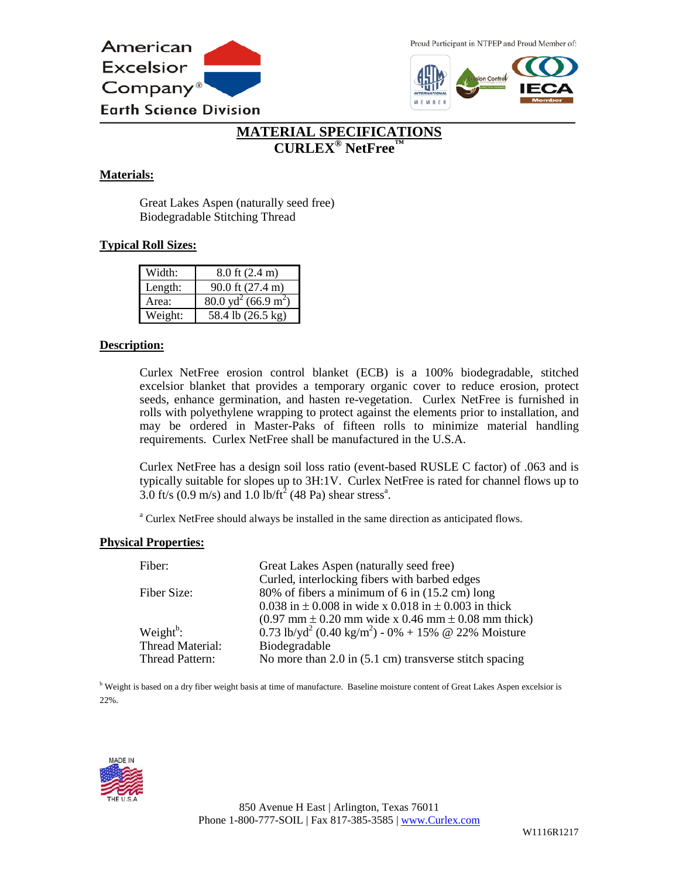

Proud Participant in NTPEP and Proud Member of:



# **MATERIAL SPECIFICATIONS CURLEX® NetFree™**

#### **Materials:**

Great Lakes Aspen (naturally seed free) Biodegradable Stitching Thread

#### **Typical Roll Sizes:**

| Width:  | $8.0$ ft $(2.4 \text{ m})$             |
|---------|----------------------------------------|
| Length: | 90.0 ft (27.4 m)                       |
| Area:   | $80.0 \text{ yd}^2 (66.9 \text{ m}^2)$ |
| Weight: | 58.4 lb (26.5 kg)                      |

#### **Description:**

Curlex NetFree erosion control blanket (ECB) is a 100% biodegradable, stitched excelsior blanket that provides a temporary organic cover to reduce erosion, protect seeds, enhance germination, and hasten re-vegetation. Curlex NetFree is furnished in rolls with polyethylene wrapping to protect against the elements prior to installation, and may be ordered in Master-Paks of fifteen rolls to minimize material handling requirements. Curlex NetFree shall be manufactured in the U.S.A.

Curlex NetFree has a design soil loss ratio (event-based RUSLE C factor) of .063 and is typically suitable for slopes up to 3H:1V. Curlex NetFree is rated for channel flows up to 3.0 ft/s (0.9 m/s) and 1.0 lb/ft<sup>2</sup> (48 Pa) shear stress<sup>a</sup>.

<sup>a</sup> Curlex NetFree should always be installed in the same direction as anticipated flows.

#### **Physical Properties:**

| Fiber:              | Great Lakes Aspen (naturally seed free)                                                                   |
|---------------------|-----------------------------------------------------------------------------------------------------------|
|                     | Curled, interlocking fibers with barbed edges                                                             |
| Fiber Size:         | 80% of fibers a minimum of 6 in (15.2 cm) long                                                            |
|                     | 0.038 in $\pm$ 0.008 in wide x 0.018 in $\pm$ 0.003 in thick                                              |
|                     | $(0.97 \text{ mm} \pm 0.20 \text{ mm} \text{ wide x } 0.46 \text{ mm} \pm 0.08 \text{ mm} \text{ thick})$ |
| Weight $^{\rm b}$ : | 0.73 lb/yd <sup>2</sup> (0.40 kg/m <sup>2</sup> ) - 0% + 15% @ 22% Moisture                               |
| Thread Material:    | Biodegradable                                                                                             |
| Thread Pattern:     | No more than $2.0$ in $(5.1 \text{ cm})$ transverse stitch spacing                                        |
|                     |                                                                                                           |

<sup>b</sup> Weight is based on a dry fiber weight basis at time of manufacture. Baseline moisture content of Great Lakes Aspen excelsior is 22%.